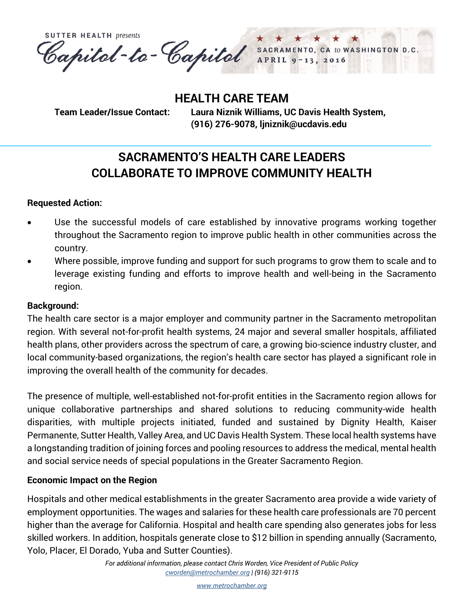**SUTTER HEALTH presents** Capital-te-Capital SACRAMENTO, CA to WASHINGTON D.C.

**HEALTH CARE TEAM**

**Team Leader/Issue Contact: Laura Niznik Williams, UC Davis Health System, (916) 276-9078, [ljniznik@ucdavis.edu](mailto:ljniznik@ucdavis.edu)**

# **SACRAMENTO'S HEALTH CARE LEADERS COLLABORATE TO IMPROVE COMMUNITY HEALTH**

## **Requested Action:**

- Use the successful models of care established by innovative programs working together throughout the Sacramento region to improve public health in other communities across the country.
- Where possible, improve funding and support for such programs to grow them to scale and to leverage existing funding and efforts to improve health and well-being in the Sacramento region.

# **Background:**

The health care sector is a major employer and community partner in the Sacramento metropolitan region. With several not-for-profit health systems, 24 major and several smaller hospitals, affiliated health plans, other providers across the spectrum of care, a growing bio-science industry cluster, and local community-based organizations, the region's health care sector has played a significant role in improving the overall health of the community for decades.

The presence of multiple, well-established not-for-profit entities in the Sacramento region allows for unique collaborative partnerships and shared solutions to reducing community-wide health disparities, with multiple projects initiated, funded and sustained by Dignity Health, Kaiser Permanente, Sutter Health, Valley Area, and UC Davis Health System. These local health systems have a longstanding tradition of joining forces and pooling resources to address the medical, mental health and social service needs of special populations in the Greater Sacramento Region.

# **Economic Impact on the Region**

Hospitals and other medical establishments in the greater Sacramento area provide a wide variety of employment opportunities. The wages and salaries for these health care professionals are 70 percent higher than the average for California. Hospital and health care spending also generates jobs for less skilled workers. In addition, hospitals generate close to \$12 billion in spending annually (Sacramento, Yolo, Placer, El Dorado, Yuba and Sutter Counties).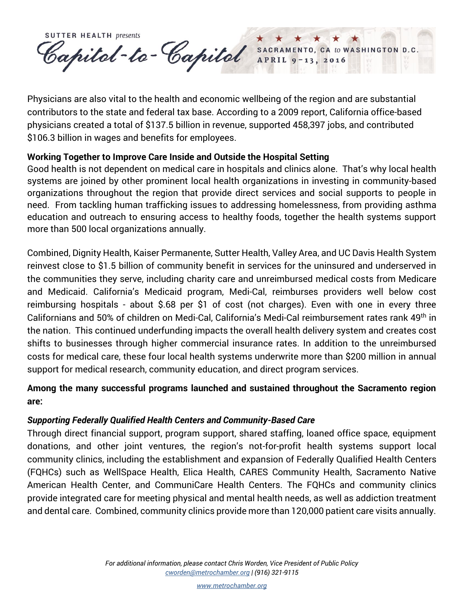**SUTTER HEALTH presents** Capital-te-Capital SACRAMENTO, CA to WASHINGTON D.C.

Physicians are also vital to the health and economic wellbeing of the region and are substantial contributors to the state and federal tax base. According to a 2009 report, California office-based physicians created a total of \$137.5 billion in revenue, supported 458,397 jobs, and contributed \$106.3 billion in wages and benefits for employees.

## **Working Together to Improve Care Inside and Outside the Hospital Setting**

Good health is not dependent on medical care in hospitals and clinics alone. That's why local health systems are joined by other prominent local health organizations in investing in community-based organizations throughout the region that provide direct services and social supports to people in need. From tackling human trafficking issues to addressing homelessness, from providing asthma education and outreach to ensuring access to healthy foods, together the health systems support more than 500 local organizations annually.

Combined, Dignity Health, Kaiser Permanente, Sutter Health, Valley Area, and UC Davis Health System reinvest close to \$1.5 billion of community benefit in services for the uninsured and underserved in the communities they serve, including charity care and unreimbursed medical costs from Medicare and Medicaid. California's Medicaid program, Medi-Cal, reimburses providers well below cost reimbursing hospitals - about \$.68 per \$1 of cost (not charges). Even with one in every three Californians and 50% of children on Medi-Cal, California's Medi-Cal reimbursement rates rank 49th in the nation. This continued underfunding impacts the overall health delivery system and creates cost shifts to businesses through higher commercial insurance rates. In addition to the unreimbursed costs for medical care, these four local health systems underwrite more than \$200 million in annual support for medical research, community education, and direct program services.

# **Among the many successful programs launched and sustained throughout the Sacramento region are:**

## *Supporting Federally Qualified Health Centers and Community-Based Care*

Through direct financial support, program support, shared staffing, loaned office space, equipment donations, and other joint ventures, the region's not-for-profit health systems support local community clinics, including the establishment and expansion of Federally Qualified Health Centers (FQHCs) such as WellSpace Health, Elica Health, CARES Community Health, Sacramento Native American Health Center, and CommuniCare Health Centers. The FQHCs and community clinics provide integrated care for meeting physical and mental health needs, as well as addiction treatment and dental care. Combined, community clinics provide more than 120,000 patient care visits annually.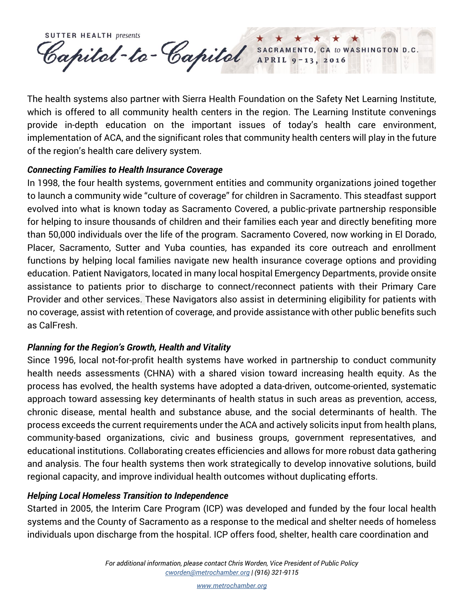**SUTTER HEALTH presents** Capitel-te-Capitel SACRAMENTO, CA to WASHINGTON D.C.

The health systems also partner with Sierra Health Foundation on the Safety Net Learning Institute, which is offered to all community health centers in the region. The Learning Institute convenings provide in-depth education on the important issues of today's health care environment, implementation of ACA, and the significant roles that community health centers will play in the future of the region's health care delivery system.

#### *Connecting Families to Health Insurance Coverage*

In 1998, the four health systems, government entities and community organizations joined together to launch a community wide "culture of coverage" for children in Sacramento. This steadfast support evolved into what is known today as Sacramento Covered, a public-private partnership responsible for helping to insure thousands of children and their families each year and directly benefiting more than 50,000 individuals over the life of the program. Sacramento Covered, now working in El Dorado, Placer, Sacramento, Sutter and Yuba counties, has expanded its core outreach and enrollment functions by helping local families navigate new health insurance coverage options and providing education. Patient Navigators, located in many local hospital Emergency Departments, provide onsite assistance to patients prior to discharge to connect/reconnect patients with their Primary Care Provider and other services. These Navigators also assist in determining eligibility for patients with no coverage, assist with retention of coverage, and provide assistance with other public benefits such as CalFresh.

## *Planning for the Region's Growth, Health and Vitality*

Since 1996, local not-for-profit health systems have worked in partnership to conduct community health needs assessments (CHNA) with a shared vision toward increasing health equity. As the process has evolved, the health systems have adopted a data-driven, outcome-oriented, systematic approach toward assessing key determinants of health status in such areas as prevention, access, chronic disease, mental health and substance abuse, and the social determinants of health. The process exceeds the current requirements under the ACA and actively solicits input from health plans, community-based organizations, civic and business groups, government representatives, and educational institutions. Collaborating creates efficiencies and allows for more robust data gathering and analysis. The four health systems then work strategically to develop innovative solutions, build regional capacity, and improve individual health outcomes without duplicating efforts.

## *Helping Local Homeless Transition to Independence*

Started in 2005, the Interim Care Program (ICP) was developed and funded by the four local health systems and the County of Sacramento as a response to the medical and shelter needs of homeless individuals upon discharge from the hospital. ICP offers food, shelter, health care coordination and